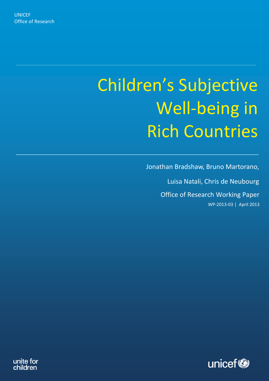# Children's Subjective Well-being in Rich Countries

Office of Research Working Paper WP-2013-03 | April 2013 Jonathan Bradshaw, Bruno Martorano, Luisa Natali, Chris de Neubourg



unite for children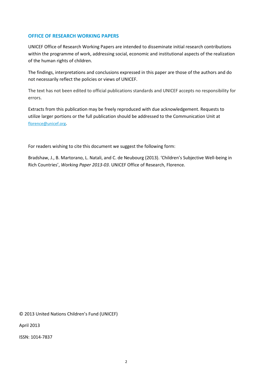# **OFFICE OF RESEARCH WORKING PAPERS**

UNICEF Office of Research Working Papers are intended to disseminate initial research contributions within the programme of work, addressing social, economic and institutional aspects of the realization of the human rights of children.

The findings, interpretations and conclusions expressed in this paper are those of the authors and do not necessarily reflect the policies or views of UNICEF.

The text has not been edited to official publications standards and UNICEF accepts no responsibility for errors.

Extracts from this publication may be freely reproduced with due acknowledgement. Requests to utilize larger portions or the full publication should be addressed to the Communication Unit at [florence@unicef.org](mailto:florence@unicef.org).

For readers wishing to cite this document we suggest the following form:

Bradshaw, J., B. Martorano, L. Natali, and C. de Neubourg (2013). 'Children's Subjective Well-being in Rich Countries', *Working Paper 2013-03*. UNICEF Office of Research, Florence.

© 2013 United Nations Children's Fund (UNICEF)

April 2013

ISSN: 1014-7837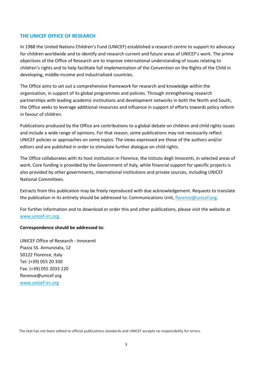#### **THE UNICEF OFFICE OF RESEARCH**

In 1988 the United Nations Children's Fund (UNICEF) established a research centre to support its advocacy for children worldwide and to identify and research current and future areas of UNICEF's work. The prime objectives of the Office of Research are to improve international understanding of issues relating to children's rights and to help facilitate full implementation of the Convention on the Rights of the Child in developing, middle-income and industrialized countries.

The Office aims to set out a comprehensive framework for research and knowledge within the organization, in support of its global programmes and policies. Through strengthening research partnerships with leading academic institutions and development networks in both the North and South, the Office seeks to leverage additional resources and influence in support of efforts towards policy reform in favour of children.

Publications produced by the Office are contributions to a global debate on children and child rights issues and include a wide range of opinions. For that reason, some publications may not necessarily reflect UNICEF policies or approaches on some topics. The views expressed are those of the authors and/or editors and are published in order to stimulate further dialogue on child rights.

The Office collaborates with its host institution in Florence, the Istituto degli Innocenti, in selected areas of work. Core funding is provided by the Government of Italy, while financial support for specific projects is also provided by other governments, international institutions and private sources, including UNICEF National Committees.

Extracts from this publication may be freely reproduced with due acknowledgement. Requests to translate the publication in its entirety should be addressed to: Communications Unit, florence@unicef.org.

For further information and to download or order this and other publications, please visit the website at www.unicef-irc.org.

#### **Correspondence should be addressed to:**

UNICEF Office of Research - Innocenti Piazza SS. Annunziata, 12 50122 Florence, Italy Tel: (+39) 055 20 330 Fax: (+39) 055 2033 220 florence@unicef.org [www.unicef-irc.org](http://www.unicef-irc.org/)

The text has not been edited to official publications standards and UNICEF accepts no responsibility for errors.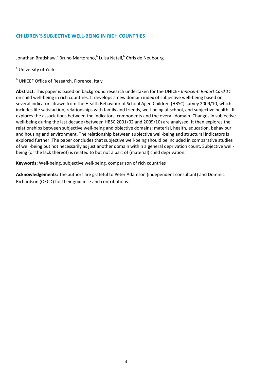# **CHILDREN'S SUBJECTIVE WELL-BEING IN RICH COUNTRIES**

Jonathan Bradshaw,<sup>a</sup> Bruno Martorano,<sup>b</sup> Luisa Natali,<sup>b</sup> Chris de Neubourg<sup>b</sup>

<sup>a</sup> University of York

**b** UNICEF Office of Research, Florence, Italy

**Abstract.** This paper is based on background research undertaken for the UNICEF *Innocenti Report Card 11* on child well-being in rich countries. It develops a new domain index of subjective well-being based on several indicators drawn from the Health Behaviour of School Aged Children (HBSC) survey 2009/10, which includes life satisfaction, relationships with family and friends, well-being at school, and subjective health. It explores the associations between the indicators, components and the overall domain. Changes in subjective well-being during the last decade (between HBSC 2001/02 and 2009/10) are analysed. It then explores the relationships between subjective well-being and objective domains: material, health, education, behaviour and housing and environment. The relationship between subjective well-being and structural indicators is explored further. The paper concludes that subjective well-being should be included in comparative studies of well-being but not necessarily as just another domain within a general deprivation count. Subjective wellbeing (or the lack thereof) is related to but not a part of (material) child deprivation.

**Keywords:** Well-being, subjective well-being, comparison of rich countries

**Acknowledgements:** The authors are grateful to Peter Adamson (independent consultant) and Dominic Richardson (OECD) for their guidance and contributions.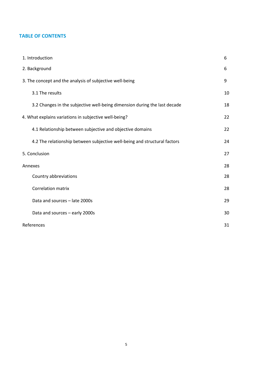# **TABLE OF CONTENTS**

| 1. Introduction                                                           | 6  |
|---------------------------------------------------------------------------|----|
| 2. Background                                                             | 6  |
| 3. The concept and the analysis of subjective well-being                  | 9  |
| 3.1 The results                                                           | 10 |
| 3.2 Changes in the subjective well-being dimension during the last decade | 18 |
| 4. What explains variations in subjective well-being?                     | 22 |
| 4.1 Relationship between subjective and objective domains                 | 22 |
| 4.2 The relationship between subjective well-being and structural factors | 24 |
| 5. Conclusion                                                             | 27 |
| Annexes                                                                   | 28 |
| Country abbreviations                                                     | 28 |
| <b>Correlation matrix</b>                                                 | 28 |
| Data and sources - late 2000s                                             | 29 |
| Data and sources - early 2000s                                            | 30 |
| References                                                                | 31 |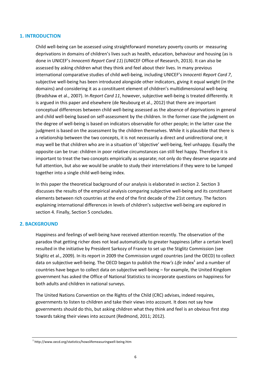#### **1. INTRODUCTION**

Child well-being can be assessed using straightforward monetary poverty counts or measuring deprivations in domains of children's lives such as health, education, behaviour and housing (as is done in UNICEF's *Innocenti Report Card 11*) (UNICEF Office of Research, 2013). It can also be assessed by asking children what they think and feel about their lives. In many previous international comparative studies of child well-being, including UNICEF's *Innocenti Report Card 7*, subjective well-being has been introduced alongside other indicators, giving it equal weight (in the domains) and considering it as a constituent element of children's multidimensional well-being (Bradshaw et al., 2007). In *Report Card 11*, however, subjective well-being is treated differently. It is argued in this paper and elsewhere (de Neubourg et al., 2012) that there are important conceptual differences between child well-being assessed as the absence of deprivations in general and child well-being based on self-assessment by the children. In the former case the judgment on the degree of well-being is based on indicators observable for other people; in the latter case the judgment is based on the assessment by the children themselves. While it is plausible that there is a relationship between the two concepts, it is not necessarily a direct and unidirectional one; it may well be that children who are in a situation of 'objective' well-being, feel unhappy. Equally the opposite can be true: children in poor relative circumstances can still feel happy. Therefore it is important to treat the two concepts empirically as separate; not only do they deserve separate and full attention, but also we would be unable to study their interrelations if they were to be lumped together into a single child well-being index.

In this paper the theoretical background of our analysis is elaborated in section 2. Section 3 discusses the results of the empirical analysis comparing subjective well-being and its constituent elements between rich countries at the end of the first decade of the 21st century. The factors explaining international differences in levels of children's subjective well-being are explored in section 4. Finally, Section 5 concludes.

# **2. BACKGROUND**

Happiness and feelings of well-being have received attention recently. The observation of the paradox that getting richer does not lead automatically to greater happiness (after a certain level) resulted in the initiative by President Sarkozy of France to set up the Stiglitz Commission (see Stiglitz et al., 2009). In its report in 2009 the Commission urged countries (and the OECD) to collect data on subjective well-being. The OECD began to publish the *How's Life* index<sup>1</sup> and a number of countries have begun to collect data on subjective well-being – for example, the United Kingdom government has asked the Office of National Statistics to incorporate questions on happiness for both adults and children in national surveys.

The United Nations Convention on the Rights of the Child (CRC) advises, indeed requires, governments to listen to children and take their views into account. It does not say how governments should do this, but asking children what they think and feel is an obvious first step towards taking their views into account (Redmond, 2011; 2012).

<sup>&</sup>lt;sup>1</sup> http://www.oecd.org/statistics/howslifemeasuringwell-being.htm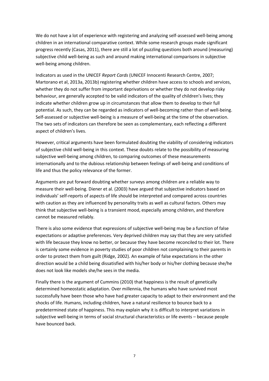We do not have a lot of experience with registering and analyzing self-assessed well-being among children in an international comparative context. While some research groups made significant progress recently (Casas, 2011), there are still a lot of puzzling questions both around (measuring) subjective child well-being as such and around making international comparisons in subjective well-being among children.

Indicators as used in the UNICEF *Report Cards* (UNICEF Innocenti Research Centre, 2007; Martorano et al, 2013a, 2013b) registering whether children have access to schools and services, whether they do not suffer from important deprivations or whether they do not develop risky behaviour, are generally accepted to be valid indicators of the quality of children's lives; they indicate whether children grow up in circumstances that allow them to develop to their full potential. As such, they can be regarded as indicators of well-becoming rather than of well-being. Self-assessed or subjective well-being is a measure of well-being at the time of the observation. The two sets of indicators can therefore be seen as complementary, each reflecting a different aspect of children's lives.

However, critical arguments have been formulated doubting the viability of considering indicators of subjective child well-being in this context. These doubts relate to the possibility of measuring subjective well-being among children, to comparing outcomes of these measurements internationally and to the dubious relationship between feelings of well-being and conditions of life and thus the policy relevance of the former.

Arguments are put forward doubting whether surveys among children are a reliable way to measure their well-being. Diener et al. (2003) have argued that subjective indicators based on individuals' self-reports of aspects of life should be interpreted and compared across countries with caution as they are influenced by personality traits as well as cultural factors. Others may think that subjective well-being is a transient mood, especially among children, and therefore cannot be measured reliably.

There is also some evidence that expressions of subjective well-being may be a function of false expectations or adaptive preferences. Very deprived children may say that they are very satisfied with life because they know no better, or because they have become reconciled to their lot. There is certainly some evidence in poverty studies of poor children not complaining to their parents in order to protect them from guilt (Ridge, 2002). An example of false expectations in the other direction would be a child being dissatisfied with his/her body or his/her clothing because she/he does not look like models she/he sees in the media.

Finally there is the argument of Cummins (2010) that happiness is the result of genetically determined homeostatic adaptation. Over millennia, the humans who have survived most successfully have been those who have had greater capacity to adapt to their environment and the shocks of life. Humans, including children, have a natural resilience to bounce back to a predetermined state of happiness. This may explain why it is difficult to interpret variations in subjective well-being in terms of social structural characteristics or life events – because people have bounced back.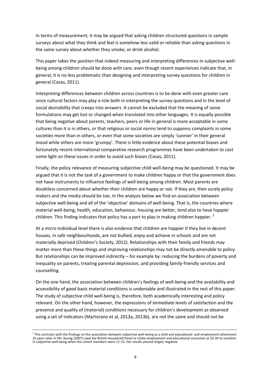In terms of measurement, it may be argued that asking children structured questions in sample surveys about what they think and feel is somehow less valid or reliable than asking questions in the same survey about whether they smoke, or drink alcohol.

This paper takes the position that indeed measuring and interpreting differences in subjective wellbeing among children should be done with care, even though recent experiences indicate that, in general, it is no less problematic than designing and interpreting survey questions for children in general (Casas, 2011).

Interpreting differences between children across countries is to be done with even greater care since cultural factors may play a role both in interpreting the survey questions and in the level of social desirability that creeps into answers. It cannot be excluded that the meaning of some formulations may get lost or changed when translated into other languages. It is equally possible that being negative about parents, teachers, peers or life in general is more acceptable in some cultures than it is in others, or that religious or social norms tend to suppress complaints in some societies more than in others, or even that some societies are simply 'sunnier' in their general mood while others are more 'grumpy'. There is little evidence about these potential biases and fortunately recent international comparative research programmes have been undertaken to cast some light on these issues in order to avoid such biases (Casas, 2011).

Finally, the policy relevance of measuring subjective child well-being may be questioned. It may be argued that it is not the task of a government to make children happy or that the government does not have instruments to influence feelings of well-being among children. Most parents are doubtless concerned about whether their children are happy or not. If they are, then surely policy makers and the media should be too. In the analysis below we find an association between subjective well-being and all of the 'objective' domains of well-being. That is, the countries where material well-being, health, education, behaviour, housing are better, tend also to have happier children. This finding indicates that policy has a part to play in making children happier.  $<sup>2</sup>$ </sup>

At a micro individual level there is also evidence that children are happier if they live in decent houses, in safe neighbourhoods, are not bullied, enjoy and achieve in schools and are not materially deprived (Children's Society, 2012). Relationships with their family and friends may matter more than these things and improving relationships may not be directly amenable to policy. But relationships can be improved indirectly  $-$  for example by: reducing the burdens of poverty and inequality on parents, treating parental depression, and providing family-friendly services and counselling.

On the one hand, the association between children's feelings of well-being and the availability and accessibility of good basic material conditions is undeniable and illustrated in the rest of this paper. The study of subjective child well-being is, therefore, both academically interesting and policy relevant. On the other hand, however, the expressions of immediate levels of satisfaction and the presence and quality of (material) conditions necessary for children's development as observed using a set of indicators (Martorano et al, 2013a, 2013b), are not the same and should not be

 $^2$  This contrasts with the findings on the association between subjective well-being as a child and educational- and employment attainment 10 years later in life: Keung (2007) used the British Household Panel to relate employment and educational outcomes at 20-24 to variation in subjective well-being when the cohort members were 11-15. Her results proved largely negative.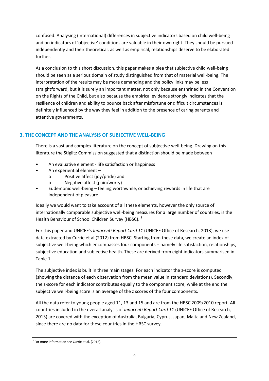confused. Analysing (international) differences in subjective indicators based on child well-being and on indicators of 'objective' conditions are valuable in their own right. They should be pursued independently and their theoretical, as well as empirical, relationships deserve to be elaborated further.

As a conclusion to this short discussion, this paper makes a plea that subjective child well-being should be seen as a serious domain of study distinguished from that of material well-being. The interpretation of the results may be more demanding and the policy links may be less straightforward, but it is surely an important matter, not only because enshrined in the Convention on the Rights of the Child, but also because the empirical evidence strongly indicates that the resilience of children and ability to bounce back after misfortune or difficult circumstances is definitely influenced by the way they feel in addition to the presence of caring parents and attentive governments.

# **3. THE CONCEPT AND THE ANALYSIS OF SUBJECTIVE WELL-BEING**

There is a vast and complex literature on the concept of subjective well-being. Drawing on this literature the Stiglitz Commission suggested that a distinction should be made between

- An evaluative element life satisfaction or happiness
- An experiential element
	- o Positive affect (joy/pride) and
	- Negative affect (pain/worry)
- Eudemonic well-being feeling worthwhile, or achieving rewards in life that are independent of pleasure.

Ideally we would want to take account of all these elements, however the only source of internationally comparable subjective well-being measures for a large number of countries, is the Health Behaviour of School Children Survey (HBSC).<sup>3</sup>

For this paper and UNICEF's *Innocenti Report Card 11* (UNICEF Office of Research, 2013), we use data extracted by Currie et al (2012) from HBSC. Starting from these data, we create an index of subjective well-being which encompasses four components – namely life satisfaction, relationships, subjective education and subjective health. These are derived from eight indicators summarised in Table 1.

The subjective index is built in three main stages. For each indicator the z-score is computed (showing the distance of each observation from the mean value in standard deviations). Secondly, the z-score for each indicator contributes equally to the component score, while at the end the subjective well-being score is an average of the z scores of the four components.

All the data refer to young people aged 11, 13 and 15 and are from the HBSC 2009/2010 report. All countries included in the overall analysis of *Innocenti Report Card 11* (UNICEF Office of Research, 2013) are covered with the exception of Australia, Bulgaria, Cyprus, Japan, Malta and New Zealand, since there are no data for these countries in the HBSC survey.

<sup>&</sup>lt;sup>3</sup> For more information see Currie et al. (2012).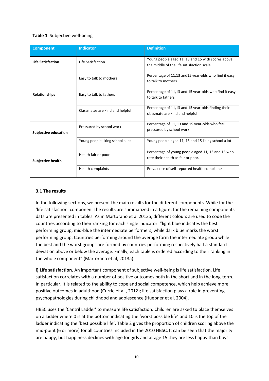#### **Table 1** Subjective well-being

| <b>Component</b>            | <b>Indicator</b>                 | <b>Definition</b>                                                                               |  |  |
|-----------------------------|----------------------------------|-------------------------------------------------------------------------------------------------|--|--|
| <b>Life Satisfaction</b>    | Life Satisfaction                | Young people aged 11, 13 and 15 with scores above<br>the middle of the life satisfaction scale, |  |  |
|                             | Easy to talk to mothers          | Percentage of 11,13 and 15 year-olds who find it easy<br>to talk to mothers                     |  |  |
| <b>Relationships</b>        | Easy to talk to fathers          | Percentage of 11,13 and 15 year-olds who find it easy<br>to talk to fathers                     |  |  |
|                             | Classmates are kind and helpful  | Percentage of 11,13 and 15 year-olds finding their<br>classmate are kind and helpful            |  |  |
| <b>Subjective education</b> | Pressured by school work         | Percentage of 11, 13 and 15 year-olds who feel<br>pressured by school work                      |  |  |
|                             | Young people liking school a lot | Young people aged 11, 13 and 15 liking school a lot                                             |  |  |
| <b>Subjective health</b>    | Health fair or poor              | Percentage of young people aged 11, 13 and 15 who<br>rate their health as fair or poor.         |  |  |
|                             | <b>Health complaints</b>         | Prevalence of self-reported health complaints                                                   |  |  |

# **3.1 The results**

In the following sections, we present the main results for the different components. While for the 'life satisfaction' component the results are summarized in a figure, for the remaining components data are presented in tables. As in Martorano et al 2013a, different colours are used to code the countries according to their ranking for each single indicator: "light blue indicates the best performing group, mid-blue the intermediate performers, while dark blue marks the worst performing group. Countries performing around the average form the intermediate group while the best and the worst groups are formed by countries performing respectively half a standard deviation above or below the average. Finally, each table is ordered according to their ranking in the whole component" (Martorano et al, 2013a).

**i) Life satisfaction.** An important component of subjective well-being is life satisfaction. Life satisfaction correlates with a number of positive outcomes both in the short and in the long-term. In particular, it is related to the ability to cope and social competence, which help achieve more positive outcomes in adulthood (Currie et al., 2012); life satisfaction plays a role in preventing psychopathologies during childhood and adolescence (Huebner et al, 2004).

HBSC uses the 'Cantril Ladder' to measure life satisfaction. Children are asked to place themselves on a ladder where 0 is at the bottom indicating the 'worst possible life' and 10 is the top of the ladder indicating the 'best possible life'. Table 2 gives the proportion of children scoring above the mid-point (6 or more) for all countries included in the 2010 HBSC. It can be seen that the majority are happy, but happiness declines with age for girls and at age 15 they are less happy than boys.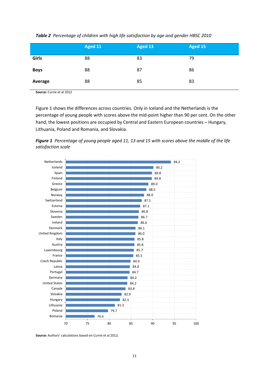|             | Aged 11 | Aged 13 | Aged 15 |
|-------------|---------|---------|---------|
| Girls       | 88      | 83      | 79      |
| <b>Boys</b> | 88      | 87      | 86      |
| Average     | 88      | 85      | 83      |

*Table 2 Percentage of children with high life satisfaction by age and gender HBSC 2010*

**Source:** Currie et al 2012

Figure 1 shows the differences across countries. Only in Iceland and the Netherlands is the percentage of young people with scores above the mid-point higher than 90 per cent. On the other hand, the lowest positions are occupied by Central and Eastern European countries - Hungary, Lithuania, Poland and Romania, and Slovakia.

*Figure 1 Percentage of young people aged 11, 13 and 15 with scores above the middle of the life satisfaction scale*



**Source:** Authors' calculations based on Currie et al 2012.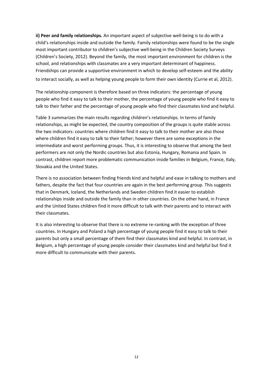**ii) Peer and family relationships.** An important aspect of subjective well-being is to do with a child's relationships inside and outside the family. Family relationships were found to be the single most important contributor to children's subjective well-being in the Children Society Surveys (Children's Society, 2012). Beyond the family, the most important environment for children is the school, and relationships with classmates are a very important determinant of happiness. Friendships can provide a supportive environment in which to develop self-esteem and the ability to interact socially, as well as helping young people to form their own identity (Currie et al, 2012).

The relationship component is therefore based on three indicators: the percentage of young people who find it easy to talk to their mother, the percentage of young people who find it easy to talk to their father and the percentage of young people who find their classmates kind and helpful.

Table 3 summarizes the main results regarding children's relationships. In terms of family relationships, as might be expected, the country composition of the groups is quite stable across the two indicators: countries where children find it easy to talk to their mother are also those where children find it easy to talk to their father; however there are some exceptions in the intermediate and worst performing groups. Thus, it is interesting to observe that among the best performers are not only the Nordic countries but also Estonia, Hungary, Romania and Spain. In contrast, children report more problematic communication inside families in Belgium, France, Italy, Slovakia and the United States.

There is no association between finding friends kind and helpful and ease in talking to mothers and fathers, despite the fact that four countries are again in the best performing group. This suggests that in Denmark, Iceland, the Netherlands and Sweden children find it easier to establish relationships inside and outside the family than in other countries. On the other hand, in France and the United States children find it more difficult to talk with their parents and to interact with their classmates.

It is also interesting to observe that there is no extreme re-ranking with the exception of three countries. In Hungary and Poland a high percentage of young people find it easy to talk to their parents but only a small percentage of them find their classmates kind and helpful. In contrast, in Belgium, a high percentage of young people consider their classmates kind and helpful but find it more difficult to communicate with their parents.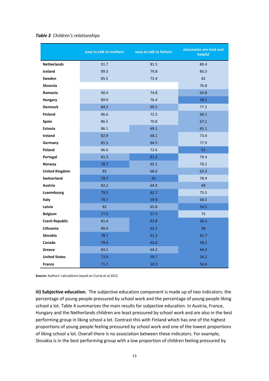|                       | easy to talk to mothers | easy to talk to fathers | classmates are kind and<br>helpful |
|-----------------------|-------------------------|-------------------------|------------------------------------|
| <b>Netherlands</b>    | 91.7                    | 81.5                    | 80.4                               |
| Iceland               | 89.3                    | 79.8                    | 80.3                               |
| <b>Sweden</b>         | 85.5                    | 72.4                    | 82                                 |
| Slovenia              |                         |                         | 76.8                               |
| Romania               | 90.4                    | 74.8                    | 64.8                               |
| <b>Hungary</b>        | 89.9                    | 76.4                    | 58.1                               |
| <b>Denmark</b>        | 84.2                    | 69.5                    | 77.2                               |
| <b>Finland</b>        | 86.6                    | 72.5                    | 66.1                               |
| Spain                 | 86.5                    | 70.8                    | 67.1                               |
| Estonia               | 86.1                    | 69.1                    | 65.1                               |
| Ireland               | 82.9                    | 68.1                    | 73.4                               |
| Germany               | 81.5                    | 64.5                    | 77.9                               |
| Poland                | 86.6                    | 72.6                    | 51                                 |
| Portugal              | 81.3                    | 61.2                    | 79.4                               |
| Norway                | 78.7                    | 65.1                    | 78.2                               |
| <b>United Kingdom</b> | 83                      | 68.6                    | 63.3                               |
| <b>Switzerland</b>    | 79.7                    | 62                      | 78.9                               |
| Austria               | 82.2                    | 64.9                    | 69                                 |
| Luxembourg            | 79.5                    | 62.7                    | 73.5                               |
| Italy                 | 79.7                    | 59.9                    | 68.5                               |
| Latvia                | 82                      | 65.8                    | 54.5                               |
| <b>Belgium</b>        | 77.5                    | 57.3                    | 75                                 |
| <b>Czech Republic</b> | 81.4                    | 62.8                    | 56.1                               |
| Lithuania             | 80.4                    | 62.1                    | 58                                 |
| <b>Slovakia</b>       | 78.7                    | 61.3                    | 61.7                               |
| Canada                | 79.4                    | 62.6                    | 58.2                               |
| Greece                | 83.1                    | 64.2                    | 44.3                               |
| <b>United States</b>  | 73.9                    | 59.7                    | 56.2                               |
| <b>France</b>         | 71.2                    | 50.3                    | 56.6                               |

#### *Table 3 Children's relationships*

**Source:** Authors' calculations based on Currie et al 2012

**iii) Subjective education.** The subjective education component is made up of two indicators: the percentage of young people pressured by school work and the percentage of young people liking school a lot. Table 4 summarizes the main results for subjective education. In Austria, France, Hungary and the Netherlands children are least pressured by school work and are also in the best performing group in liking school a lot. Contrast this with Finland which has one of the highest proportions of young people feeling pressured by school work and one of the lowest proportions of liking school a lot. Overall there is no association between these indicators. For example, Slovakia is in the best performing group with a low proportion of children feeling pressured by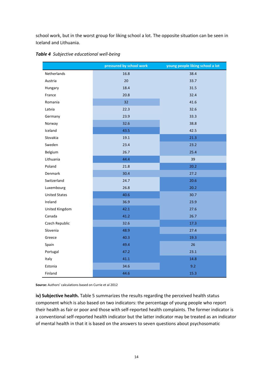school work, but in the worst group for liking school a lot. The opposite situation can be seen in Iceland and Lithuania.

|                      | pressured by school work | young people liking school a lot |
|----------------------|--------------------------|----------------------------------|
| Netherlands          | 16.8                     | 38.4                             |
| Austria              | 20                       | 33.7                             |
| Hungary              | 18.4                     | 31.5                             |
| France               | 20.8                     | 32.4                             |
| Romania              | 32                       | 41.6                             |
| Latvia               | 22.3                     | 32.6                             |
| Germany              | 23.9                     | 33.3                             |
| Norway               | 32.6                     | 38.8                             |
| Iceland              | 43.5                     | 42.5                             |
| Slovakia             | 19.1                     | 21.3                             |
| Sweden               | 23.4                     | 23.2                             |
| Belgium              | 26.7                     | 25.4                             |
| Lithuania            | 44.4                     | 39                               |
| Poland               | 21.8                     | 20.2                             |
| Denmark              | 30.4                     | 27.2                             |
| Switzerland          | 24.7                     | 20.6                             |
| Luxembourg           | 26.8                     | 20.2                             |
| <b>United States</b> | 40.6                     | 30.7                             |
| Ireland              | 36.9                     | 23.9                             |
| United Kingdom       | 42.1                     | 27.6                             |
| Canada               | 41.2                     | 26.7                             |
| Czech Republic       | 32.6                     | 17.3                             |
| Slovenia             | 48.9                     | 27.4                             |
| Greece               | 40.3                     | 19.3                             |
| Spain                | 49.4                     | 26                               |
| Portugal             | 47.2                     | 23.1                             |
| Italy                | 41.1                     | 14.8                             |
| Estonia              | 34.6                     | 9.2                              |
| Finland              | 44.6                     | 15.3                             |

*Table 4 Subjective educational well-being*

**Source:** Authors' calculations based on Currie et al 2012

**iv) Subjective health.** Table 5 summarizes the results regarding the perceived health status component which is also based on two indicators: the percentage of young people who report their health as fair or poor and those with self-reported health complaints. The former indicator is a conventional self-reported health indicator but the latter indicator may be treated as an indicator of mental health in that it is based on the answers to seven questions about psychosomatic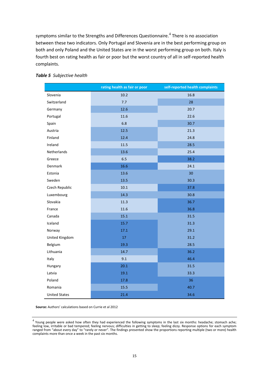symptoms similar to the Strengths and Differences Questionnaire. $^4$  There is no association between these two indicators. Only Portugal and Slovenia are in the best performing group on both and only Poland and the United States are in the worst performing group on both. Italy is fourth best on rating health as fair or poor but the worst country of all in self-reported health complaints.

|                      | rating health as fair or poor | self-reported health complaints |
|----------------------|-------------------------------|---------------------------------|
| Slovenia             | 10.2                          | 16.8                            |
| Switzerland          | 7.7                           | 28                              |
| Germany              | 12.6                          | 20.7                            |
| Portugal             | 11.6                          | 22.6                            |
| Spain                | 6.8                           | 30.7                            |
| Austria              | 12.5                          | 21.3                            |
| Finland              | 12.4                          | 24.8                            |
| Ireland              | 11.5                          | 28.5                            |
| <b>Netherlands</b>   | 13.6                          | 25.4                            |
| Greece               | 6.5                           | 38.2                            |
| Denmark              | 16.6                          | 24.1                            |
| Estonia              | 13.6                          | 30                              |
| Sweden               | 13.5                          | 30.3                            |
| Czech Republic       | 10.1                          | 37.8                            |
| Luxembourg           | 14.3                          | 30.8                            |
| Slovakia             | 11.3                          | 36.7                            |
| France               | 11.6                          | 36.8                            |
| Canada               | 15.1                          | 31.5                            |
| Iceland              | 15.7                          | 31.3                            |
| Norway               | 17.1                          | 29.1                            |
| United Kingdom       | 17                            | 31.2                            |
| Belgium              | 19.3                          | 28.5                            |
| Lithuania            | 14.7                          | 36.2                            |
| Italy                | 9.1                           | 46.4                            |
| Hungary              | 20.1                          | 31.5                            |
| Latvia               | 19.1                          | 33.3                            |
| Poland               | 17.8                          | 36                              |
| Romania              | 15.5                          | 40.7                            |
| <b>United States</b> | 21.4                          | 34.6                            |

#### *Table 5 Subjective health*

**Source:** Authors' calculations based on Currie et al 2012

 $^4$  Young people were asked how often they had experienced the following symptoms in the last six months: headache; stomach ache; feeling low, irritable or bad tempered; feeling nervous; difficulties in getting to sleep; feeling dizzy. Response options for each symptom ranged from "about every day" to "rarely or never". The findings presented show the proportions reporting multiple (two or more) health complaints more than once a week in the past six months.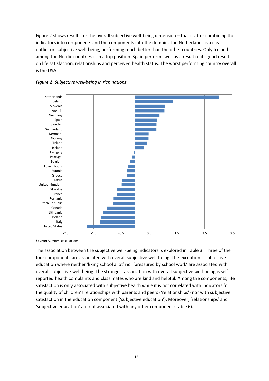Figure 2 shows results for the overall subjective well-being dimension – that is after combining the indicators into components and the components into the domain. The Netherlands is a clear outlier on subjective well-being, performing much better than the other countries. Only Iceland among the Nordic countries is in a top position. Spain performs well as a result of its good results on life satisfaction, relationships and perceived health status. The worst performing country overall is the USA.





**Source:** Authors' calculations

The association between the subjective well-being indicators is explored in Table 3. Three of the four components are associated with overall subjective well-being. The exception is subjective education where neither 'liking school a lot' nor 'pressured by school work' are associated with overall subjective well-being. The strongest association with overall subjective well-being is selfreported health complaints and class mates who are kind and helpful. Among the components, life satisfaction is only associated with subjective health while it is not correlated with indicators for the quality of children's relationships with parents and peers ('relationships') nor with subjective satisfaction in the education component ('subjective education'). Moreover, 'relationships' and 'subjective education' are not associated with any other component (Table 6).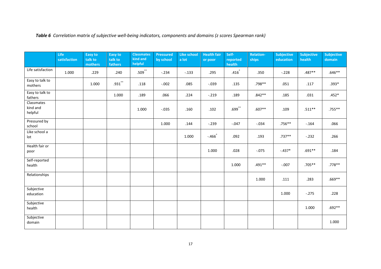|                                   | <b>Life</b><br>satisfaction | Easy to<br>talk to<br>mothers | Easy to<br>talk to<br>fathers | <b>Classmates</b><br>kind and<br>helpful | <b>Pressured</b><br>by school | <b>Like school</b><br>a lot | <b>Health fair</b><br>or poor | Self-<br>reported<br>health | <b>Relation-</b><br>ships | <b>Subjective</b><br>education | Subjective<br>health | <b>Subjective</b><br>domain |
|-----------------------------------|-----------------------------|-------------------------------|-------------------------------|------------------------------------------|-------------------------------|-----------------------------|-------------------------------|-----------------------------|---------------------------|--------------------------------|----------------------|-----------------------------|
| Life satisfaction                 | 1.000                       | .229                          | .240                          | $.509$ **                                | $-.234$                       | $-.133$                     | .295                          | .416                        | .350                      | $-.228$                        | $.487**$             | $.646**$                    |
| Easy to talk to<br>mothers        |                             | 1.000                         | $.931$ **                     | .118                                     | $-.002$                       | .085                        | $-.039$                       | .135                        | .798**                    | .051                           | .117                 | $.393*$                     |
| Easy to talk to<br>fathers        |                             |                               | 1.000                         | .189                                     | .066                          | .224                        | $-.219$                       | .189                        | $.842**$                  | .185                           | .031                 | $.452*$                     |
| Classmates<br>kind and<br>helpful |                             |                               |                               | 1.000                                    | $-.035$                       | .160                        | .102                          | $.699^{**}$                 | $.607**$                  | .109                           | $.511***$            | $.755***$                   |
| Pressured by<br>school            |                             |                               |                               |                                          | 1.000                         | .144                        | $-.239$                       | $-.047$                     | $-.034$                   | $.756**$                       | $-.164$              | .066                        |
| Like school a<br>lot              |                             |                               |                               |                                          |                               | 1.000                       | $-.466*$                      | .092                        | .193                      | $.737**$                       | $-.232$              | .266                        |
| Health fair or<br>poor            |                             |                               |                               |                                          |                               |                             | 1.000                         | .028                        | $-.075$                   | $-.437*$                       | $.691**$             | .184                        |
| Self-reported<br>health           |                             |                               |                               |                                          |                               |                             |                               | 1.000                       | .491**                    | $-.007$                        | $.705**$             | .778 **                     |
| Relationships                     |                             |                               |                               |                                          |                               |                             |                               |                             | 1.000                     | .111                           | .283                 | $.669**$                    |
| Subjective<br>education           |                             |                               |                               |                                          |                               |                             |                               |                             |                           | 1.000                          | $-.275$              | .228                        |
| Subjective<br>health              |                             |                               |                               |                                          |                               |                             |                               |                             |                           |                                | 1.000                | $.692**$                    |
| Subjective<br>domain              |                             |                               |                               |                                          |                               |                             |                               |                             |                           |                                |                      | 1.000                       |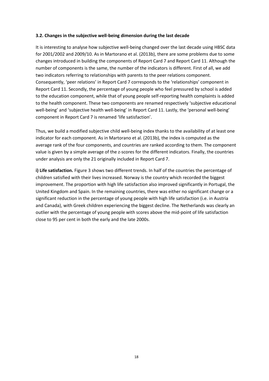#### **3.2. Changes in the subjective well-being dimension during the last decade**

It is interesting to analyse how subjective well-being changed over the last decade using HBSC data for 2001/2002 and 2009/10. As in Martorano et al. (2013b), there are some problems due to some changes introduced in building the components of Report Card 7 and Report Card 11. Although the number of components is the same, the number of the indicators is different. First of all, we add two indicators referring to relationships with parents to the peer relations component. Consequently, 'peer relations' in Report Card 7 corresponds to the 'relationships' component in Report Card 11. Secondly, the percentage of young people who feel pressured by school is added to the education component, while that of young people self-reporting health complaints is added to the health component. These two components are renamed respectively 'subjective educational well-being' and 'subjective health well-being' in Report Card 11. Lastly, the 'personal well-being' component in Report Card 7 is renamed 'life satisfaction'.

Thus, we build a modified subjective child well-being index thanks to the availability of at least one indicator for each component. As in Martorano et al. (2013b), the index is computed as the average rank of the four components, and countries are ranked according to them. The component value is given by a simple average of the z-scores for the different indicators. Finally, the countries under analysis are only the 21 originally included in Report Card 7.

**i) Life satisfaction.** Figure 3 shows two different trends. In half of the countries the percentage of children satisfied with their lives increased. Norway is the country which recorded the biggest improvement. The proportion with high life satisfaction also improved significantly in Portugal, the United Kingdom and Spain. In the remaining countries, there was either no significant change or a significant reduction in the percentage of young people with high life satisfaction (i.e. in Austria and Canada), with Greek children experiencing the biggest decline. The Netherlands was clearly an outlier with the percentage of young people with scores above the mid-point of life satisfaction close to 95 per cent in both the early and the late 2000s.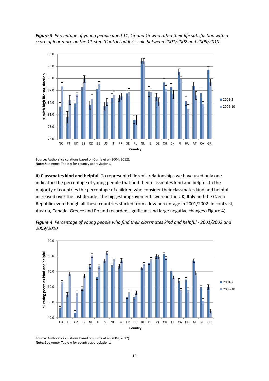

*Figure 3 Percentage of young people aged 11, 13 and 15 who rated their life satisfaction with a score of 6 or more on the 11-step 'Cantril Ladder' scale between 2001/2002 and 2009/2010.*

**Source:** Authors' calculations based on Currie et al (2004, 2012). **Note**: See Annex Table A for country abbreviations.

**ii) Classmates kind and helpful.** To represent children's relationships we have used only one indicator: the percentage of young people that find their classmates kind and helpful. In the majority of countries the percentage of children who consider their classmates kind and helpful increased over the last decade. The biggest improvements were in the UK, Italy and the Czech Republic even though all these countries started from a low percentage in 2001/2002. In contrast, Austria, Canada, Greece and Poland recorded significant and large negative changes (Figure 4).





**Source:** Authors' calculations based on Currie et al (2004, 2012). **Note**: See Annex Table A for country abbreviations.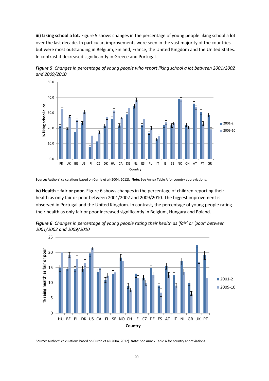**iii) Liking school a lot.** Figure 5 shows changes in the percentage of young people liking school a lot over the last decade. In particular, improvements were seen in the vast majority of the countries but were most outstanding in Belgium, Finland, France, the United Kingdom and the United States. In contrast it decreased significantly in Greece and Portugal.





**Source:** Authors' calculations based on Currie et al (2004, 2012). **Note**: See Annex Table A for country abbreviations.

**iv) Health – fair or poor**. Figure 6 shows changes in the percentage of children reporting their health as only fair or poor between 2001/2002 and 2009/2010. The biggest improvement is observed in Portugal and the United Kingdom. In contrast, the percentage of young people rating their health as only fair or poor increased significantly in Belgium, Hungary and Poland.





**Source:** Authors' calculations based on Currie et al (2004, 2012). **Note**: See Annex Table A for country abbreviations.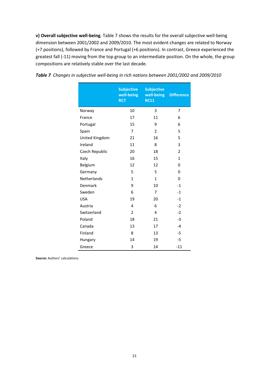**v) Overall subjective well-being**. Table 7 shows the results for the overall subjective well-being dimension between 2001/2002 and 2009/2010. The most evident changes are related to Norway (+7 positions), followed by France and Portugal (+6 positions). In contrast, Greece experienced the greatest fall (-11) moving from the top group to an intermediate position. On the whole, the group compositions are relatively stable over the last decade.

|                | <b>Subjective</b><br>well-being<br>RC7 | <b>Subjective</b><br>well-being<br><b>RC11</b> | <b>Difference</b> |
|----------------|----------------------------------------|------------------------------------------------|-------------------|
| Norway         | 10                                     | 3                                              | 7                 |
| France         | 17                                     | 11                                             | 6                 |
| Portugal       | 15                                     | 9                                              | 6                 |
| Spain          | $\overline{7}$                         | $\overline{2}$                                 | 5                 |
| United Kingdom | 21                                     | 16                                             | 5                 |
| Ireland        | 11                                     | 8                                              | 3                 |
| Czech Republic | 20                                     | 18                                             | $\overline{2}$    |
| Italy          | 16                                     | 15                                             | $\mathbf{1}$      |
| Belgium        | 12                                     | 12                                             | 0                 |
| Germany        | 5                                      | 5                                              | 0                 |
| Netherlands    | $\mathbf{1}$                           | $\mathbf{1}$                                   | 0                 |
| Denmark        | 9                                      | 10                                             | $-1$              |
| Sweden         | 6                                      | 7                                              | $-1$              |
| <b>USA</b>     | 19                                     | 20                                             | $-1$              |
| Austria        | 4                                      | 6                                              | $-2$              |
| Switzerland    | $\overline{2}$                         | 4                                              | $-2$              |
| Poland         | 18                                     | 21                                             | $-3$              |
| Canada         | 13                                     | 17                                             | $-4$              |
| Finland        | 8                                      | 13                                             | $-5$              |
| Hungary        | 14                                     | 19                                             | $-5$              |
| Greece         | 3                                      | 14                                             | $-11$             |

|  |  |  |  |  |  |  | Table 7 Changes in subjective well-being in rich nations between 2001/2002 and 2009/2010 |
|--|--|--|--|--|--|--|------------------------------------------------------------------------------------------|
|--|--|--|--|--|--|--|------------------------------------------------------------------------------------------|

**Source:** Authors' calculations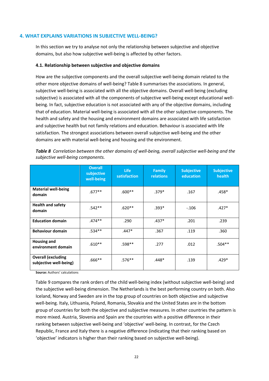#### **4. WHAT EXPLAINS VARIATIONS IN SUBJECTIVE WELL-BEING?**

In this section we try to analyse not only the relationship between subjective and objective domains, but also how subjective well-being is affected by other factors.

#### **4.1. Relationship between subjective and objective domains**

How are the subjective components and the overall subjective well-being domain related to the other more objective domains of well-being? Table 8 summarises the associations. In general, subjective well-being is associated with all the objective domains. Overall well-being (excluding subjective) is associated with all the components of subjective well-being except educational wellbeing. In fact, subjective education is not associated with any of the objective domains, including that of education. Material well-being is associated with all the other subjective components. The health and safety and the housing and environment domains are associated with life satisfaction and subjective health but not family relations and education. Behaviour is associated with life satisfaction. The strongest associations between overall subjective well-being and the other domains are with material well-being and housing and the environment.

|                                                     | <b>Overall</b><br>subjective<br>well-being | <b>Life</b><br>satisfaction | <b>Family</b><br>relations | <b>Subjective</b><br>education | <b>Subjective</b><br>health |
|-----------------------------------------------------|--------------------------------------------|-----------------------------|----------------------------|--------------------------------|-----------------------------|
| <b>Material well-being</b><br>domain                | $.677**$                                   | $.600**$                    | $.379*$                    | .167                           | .458*                       |
| <b>Health and safety</b><br>domain                  | $.542**$                                   | $.620**$                    | $.393*$                    | $-.106$                        | $.427*$                     |
| <b>Education domain</b>                             | $.474**$                                   | .290                        | $.437*$                    | .201                           | .239                        |
| <b>Behaviour domain</b>                             | $.534**$                                   | $.447*$                     | .367                       | .119                           | .360                        |
| <b>Housing and</b><br>environment domain            | $.610**$                                   | .598**                      | .277                       | .012                           | $.504**$                    |
| <b>Overall (excluding</b><br>subjective well-being) | $.666**$                                   | $.576***$                   | $.448*$                    | .139                           | $.429*$                     |

*Table 8 Correlation between the other domains of well-being, overall subjective well-being and the subjective well-being components.*

**Source:** Authors' calculations

Table 9 compares the rank orders of the child well-being index (without subjective well-being) and the subjective well-being dimension. The Netherlands is the best performing country on both. Also Iceland, Norway and Sweden are in the top group of countries on both objective and subjective well-being. Italy, Lithuania, Poland, Romania, Slovakia and the United States are in the bottom group of countries for both the objective and subjective measures. In other countries the pattern is more mixed. Austria, Slovenia and Spain are the countries with a positive difference in their ranking between subjective well-being and 'objective' well-being. In contrast, for the Czech Republic, France and Italy there is a negative difference (indicating that their ranking based on 'objective' indicators is higher than their ranking based on subjective well-being).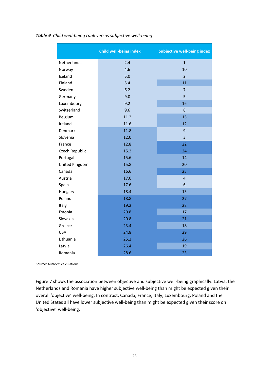|                | Child well-being index | <b>Subjective well-being index</b> |
|----------------|------------------------|------------------------------------|
| Netherlands    | 2.4                    | $\overline{1}$                     |
| Norway         | 4.6                    | 10                                 |
| Iceland        | 5.0                    | $\overline{2}$                     |
| Finland        | 5.4                    | 11                                 |
| Sweden         | 6.2                    | $\overline{7}$                     |
| Germany        | 9.0                    | 5                                  |
| Luxembourg     | 9.2                    | 16                                 |
| Switzerland    | 9.6                    | 8                                  |
| Belgium        | 11.2                   | 15                                 |
| Ireland        | 11.6                   | 12                                 |
| Denmark        | 11.8                   | $\overline{9}$                     |
| Slovenia       | 12.0                   | 3                                  |
| France         | 12.8                   | 22                                 |
| Czech Republic | 15.2                   | 24                                 |
| Portugal       | 15.6                   | 14                                 |
| United Kingdom | 15.8                   | 20                                 |
| Canada         | 16.6                   | 25                                 |
| Austria        | 17.0                   | $\overline{4}$                     |
| Spain          | 17.6                   | 6                                  |
| Hungary        | 18.4                   | 13                                 |
| Poland         | 18.8                   | 27                                 |
| Italy          | 19.2                   | 28                                 |
| Estonia        | 20.8                   | 17                                 |
| Slovakia       | 20.8                   | 21                                 |
| Greece         | 23.4                   | 18                                 |
| <b>USA</b>     | 24.8                   | 29                                 |
| Lithuania      | 25.2                   | 26                                 |
| Latvia         | 26.4                   | 19                                 |
| Romania        | 28.6                   | 23                                 |

#### *Table 9 Child well-being rank versus subjective well-being*

**Source:** Authors' calculations

Figure 7 shows the association between objective and subjective well-being graphically. Latvia, the Netherlands and Romania have higher subjective well-being than might be expected given their overall 'objective' well-being. In contrast, Canada, France, Italy, Luxembourg, Poland and the United States all have lower subjective well-being than might be expected given their score on 'objective' well-being.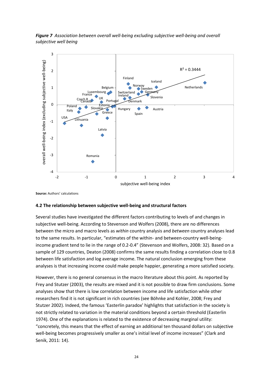*Figure 7 Association between overall well-being excluding subjective well-being and overall subjective well being* 



**Source:** Authors' calculations

#### **4.2 The relationship between subjective well-being and structural factors**

Several studies have investigated the different factors contributing to levels of and changes in subjective well-being. According to Stevenson and Wolfers (2008), there are no differences between the micro and macro levels as *within* country analysis and *between* country analyses lead to the same results. In particular, "estimates of the within- and between-country well-beingincome gradient tend to lie in the range of 0.2-0.4" (Stevenson and Wolfers, 2008: 32). Based on a sample of 129 countries, Deaton (2008) confirms the same results finding a correlation close to 0.8 between life satisfaction and log average income. The natural conclusion emerging from these analyses is that increasing income could make people happier, generating a more satisfied society.

However, there is no general consensus in the macro literature about this point. As reported by Frey and Stutzer (2003), the results are mixed and it is not possible to draw firm conclusions. Some analyses show that there is low correlation between income and life satisfaction while other researchers find it is not significant in rich countries (see Böhnke and Kohler, 2008; Frey and Stutzer 2002). Indeed, the famous 'Easterlin paradox' highlights that satisfaction in the society is not strictly related to variation in the material conditions beyond a certain threshold (Easterlin 1974). One of the explanations is related to the existence of decreasing marginal utility: "concretely, this means that the effect of earning an additional ten thousand dollars on subjective well-being becomes progressively smaller as one's initial level of income increases" (Clark and Senik, 2011: 14).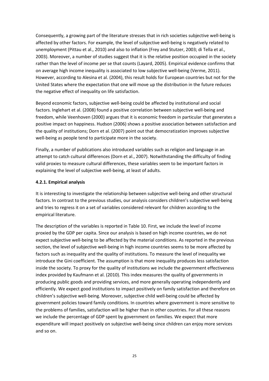Consequently, a growing part of the literature stresses that in rich societies subjective well-being is affected by other factors. For example, the level of subjective well-being is negatively related to unemployment (Pittau et al., 2010) and also to inflation (Frey and Stutzer, 2003; di Tella et al., 2003). Moreover, a number of studies suggest that it is the relative position occupied in the society rather than the level of income per se that counts (Layard, 2005). Empirical evidence confirms that on average high income inequality is associated to low subjective well-being (Verme, 2011). However, according to Alesina et al. (2004), this result holds for European countries but not for the United States where the expectation that one will move up the distribution in the future reduces the negative effect of inequality on life satisfaction.

Beyond economic factors, subjective well-being could be affected by institutional and social factors. Inglehart et al. (2008) found a positive correlation between subjective well-being and freedom, while Veenhoven (2000) argues that it is economic freedom in particular that generates a positive impact on happiness. Hudson (2006) shows a positive association between satisfaction and the quality of institutions; Dorn et al. (2007) point out that democratization improves subjective well-being as people tend to participate more in the society.

Finally, a number of publications also introduced variables such as religion and language in an attempt to catch cultural differences (Dorn et al., 2007). Notwithstanding the difficulty of finding valid proxies to measure cultural differences, these variables seem to be important factors in explaining the level of subjective well-being, at least of adults.

# **4.2.1. Empirical analysis**

It is interesting to investigate the relationship between subjective well-being and other structural factors. In contrast to the previous studies, our analysis considers children's subjective well-being and tries to regress it on a set of variables considered relevant for children according to the empirical literature.

The description of the variables is reported in Table 10. First, we include the level of income proxied by the GDP per capita. Since our analysis is based on high income countries, we do not expect subjective well-being to be affected by the material conditions. As reported in the previous section, the level of subjective well-being in high income countries seems to be more affected by factors such as inequality and the quality of institutions. To measure the level of inequality we introduce the Gini coefficient. The assumption is that more inequality produces less satisfaction inside the society. To proxy for the quality of institutions we include the government effectiveness index provided by Kaufmann et al. (2010). This index measures the quality of governments in producing public goods and providing services, and more generally operating independently and efficiently. We expect good institutions to impact positively on family satisfaction and therefore on children's subjective well-being. Moreover, subjective child well-being could be affected by government policies toward family conditions. In countries where government is more sensitive to the problems of families, satisfaction will be higher than in other countries. For all these reasons we include the percentage of GDP spent by government on families. We expect that more expenditure will impact positively on subjective well-being since children can enjoy more services and so on.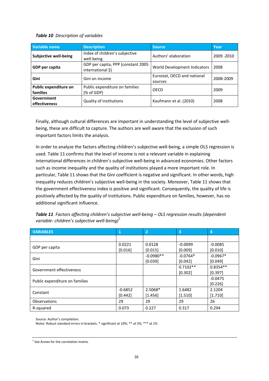#### *Table 10 Description of variables*

| Variable name                     | <b>Description</b>                                       | <b>Source</b>                          | Year        |
|-----------------------------------|----------------------------------------------------------|----------------------------------------|-------------|
| <b>Subjective well-being</b>      | Index of children's subjective<br>well-being             | Authors' elaboration                   | 2009 - 2010 |
| GDP per capita                    | GDP per capita, PPP (constant 2005)<br>international \$) | World Development Indicators           |             |
| Gini                              | Gini on income                                           | Eurostat, OECD and national<br>sources | 2008-2009   |
| Public expenditure on<br>families | Public expenditure on families<br>(% of GDP)             | OECD                                   | 2009        |
| Government<br>effectiveness       | Quality of institutions                                  | Kaufmann et al. (2010)                 | 2008        |

Finally, although cultural differences are important in understanding the level of subjective wellbeing, these are difficult to capture. The authors are well aware that the exclusion of such important factors limits the analysis.

In order to analyze the factors affecting children's subjective well-being, a simple OLS regression is used. Table 11 confirms that the level of income is not a relevant variable in explaining international differences in children's subjective well-being in advanced economies. Other factors such as income inequality and the quality of institutions played a more important role. In particular, Table 11 shows that the Gini coefficient is negative and significant. In other words, high inequality reduces children's subjective well-being in the society. Moreover, Table 11 shows that the government effectiveness index is positive and significant. Consequently, the quality of life is positively affected by the quality of institutions. Public expenditure on families, however, has no additional significant influence.

| <b>VARIABLES</b>               | 1         | $ 2\rangle$ | $\overline{3}$ | $\overline{a}$ |
|--------------------------------|-----------|-------------|----------------|----------------|
|                                |           |             |                |                |
| GDP per capita                 | 0.0221    | 0.0128      | $-0.0099$      | $-0.0085$      |
|                                | [0.016]   | [0.015]     | [0.009]        | [0.010]        |
| Gini                           |           | $-0.0980**$ | $-0.0764*$     | $-0.0967*$     |
|                                |           | [0.039]     | [0.042]        | [0.049]        |
| Government effectiveness       |           |             | $0.7102**$     | $0.8354**$     |
|                                |           |             | [0.302]        | [0.397]        |
| Public expenditure on families |           |             |                | $-0.0475$      |
|                                |           |             |                | [0.226]        |
| Constant                       | $-0.6852$ | 2.5068*     | 1.6482         | 2.1204         |
|                                | [0.442]   | [1.456]     | [1.510]        | [1.710]        |
| <b>Observations</b>            | 29        | 29          | 29             | 26             |
| R-squared                      | 0.073     | 0.227       | 0.317          | 0.294          |

*Table 11 Factors affecting children's subjective well-being – OLS regression results (dependent variable: children's subjective well-being) 5*

Source: Author's compilation.

Notes: Robust standard errors in brackets. \* significant at 10%; \*\* at 5%; \*\*\* at 1%

<sup>5</sup> See Annex for the correlation matrix.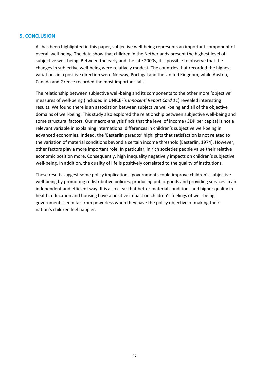#### **5. CONCLUSION**

As has been highlighted in this paper, subjective well-being represents an important component of overall well-being. The data show that children in the Netherlands present the highest level of subjective well-being. Between the early and the late 2000s, it is possible to observe that the changes in subjective well-being were relatively modest. The countries that recorded the highest variations in a positive direction were Norway, Portugal and the United Kingdom, while Austria, Canada and Greece recorded the most important falls.

The relationship between subjective well-being and its components to the other more 'objective' measures of well-being (included in UNICEF's *Innocenti Report Card 11*) revealed interesting results. We found there is an association between subjective well-being and all of the objective domains of well-being. This study also explored the relationship between subjective well-being and some structural factors. Our macro-analysis finds that the level of income (GDP per capita) is not a relevant variable in explaining international differences in children's subjective well-being in advanced economies. Indeed, the 'Easterlin paradox' highlights that satisfaction is not related to the variation of material conditions beyond a certain income threshold (Easterlin, 1974). However, other factors play a more important role. In particular, in rich societies people value their relative economic position more. Consequently, high inequality negatively impacts on children's subjective well-being. In addition, the quality of life is positively correlated to the quality of institutions.

These results suggest some policy implications: governments could improve children's subjective well-being by promoting redistributive policies, producing public goods and providing services in an independent and efficient way. It is also clear that better material conditions and higher quality in health, education and housing have a positive impact on children's feelings of well-being; governments seem far from powerless when they have the policy objective of making their nation's children feel happier.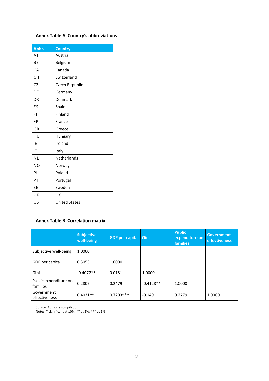# **Annex Table A Country's abbreviations**

| Abbr.          | <b>Country</b>       |
|----------------|----------------------|
| AT             | Austria              |
| <b>BE</b>      | Belgium              |
| CA             | Canada               |
| <b>CH</b>      | Switzerland          |
| CZ             | Czech Republic       |
| DE             | Germany              |
| DK             | Denmark              |
| ES             | Spain                |
| FI             | Finland              |
| <b>FR</b>      | France               |
| GR             | Greece               |
| HU             | Hungary              |
| IE             | Ireland              |
| IT             | Italy                |
| <b>NL</b>      | Netherlands          |
| N <sub>O</sub> | Norway               |
| PL             | Poland               |
| PT             | Portugal             |
| <b>SE</b>      | Sweden               |
| UK             | UK                   |
| US             | <b>United States</b> |

# **Annex Table B Correlation matrix**

|                                   | <b>Subjective</b><br>well-being | <b>GDP</b> per capita | Gini        | <b>Public</b><br>expenditure on<br><b>families</b> | <b>Government</b><br><b>effectiveness</b> |
|-----------------------------------|---------------------------------|-----------------------|-------------|----------------------------------------------------|-------------------------------------------|
| Subjective well-being             | 1.0000                          |                       |             |                                                    |                                           |
| GDP per capita                    | 0.3053                          | 1.0000                |             |                                                    |                                           |
| Gini                              | $-0.4077**$                     | 0.0181                | 1.0000      |                                                    |                                           |
| Public expenditure on<br>families | 0.2807                          | 0.2479                | $-0.4128**$ | 1.0000                                             |                                           |
| Government<br>effectiveness       | $0.4031**$                      | $0.7203***$           | $-0.1491$   | 0.2779                                             | 1.0000                                    |

Source: Author's compilation.

Notes: \* significant at 10%; \*\* at 5%; \*\*\* at 1%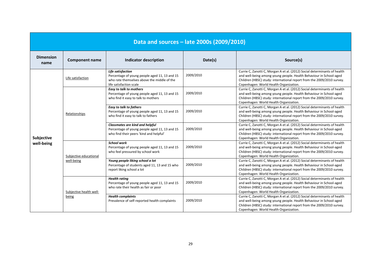| Data and sources - late 2000s (2009/2010) |                                      |                                                                                                                                              |           |                                                                                                                                                                                                                                                                     |  |  |
|-------------------------------------------|--------------------------------------|----------------------------------------------------------------------------------------------------------------------------------------------|-----------|---------------------------------------------------------------------------------------------------------------------------------------------------------------------------------------------------------------------------------------------------------------------|--|--|
| <b>Dimension</b><br>name                  | <b>Component name</b>                | <b>Indicator description</b>                                                                                                                 | Date(s)   | Source(s)                                                                                                                                                                                                                                                           |  |  |
| Subjective<br>well-being                  | Life satisfaction                    | Life satisfaction<br>Percentage of young people aged 11, 13 and 15<br>who rate themselves above the middle of the<br>life satisfaction scale | 2009/2010 | Currie C, Zanotti C, Morgan A et al. (2012) Social determinants of health<br>and well-being among young people. Health Behaviour in School-aged<br>Children (HBSC) study: international report from the 2009/2010 survey.<br>Copenhagen: World Health Organization. |  |  |
|                                           | Relationships                        | <b>Easy to talk to mothers</b><br>Percentage of young people aged 11, 13 and 15<br>who find it easy to talk to mothers                       | 2009/2010 | Currie C, Zanotti C, Morgan A et al. (2012) Social determinants of health<br>and well-being among young people. Health Behaviour in School-aged<br>Children (HBSC) study: international report from the 2009/2010 survey.<br>Copenhagen: World Health Organization. |  |  |
|                                           |                                      | <b>Easy to talk to fathers</b><br>Percentage of young people aged 11, 13 and 15<br>who find it easy to talk to fathers                       | 2009/2010 | Currie C, Zanotti C, Morgan A et al. (2012) Social determinants of health<br>and well-being among young people. Health Behaviour in School-aged<br>Children (HBSC) study: international report from the 2009/2010 survey.<br>Copenhagen: World Health Organization. |  |  |
|                                           |                                      | Classmates are kind and helpful<br>Percentage of young people aged 11, 13 and 15<br>who find their peers 'kind and helpful'                  | 2009/2010 | Currie C, Zanotti C, Morgan A et al. (2012) Social determinants of health<br>and well-being among young people. Health Behaviour in School-aged<br>Children (HBSC) study: international report from the 2009/2010 survey.<br>Copenhagen: World Health Organization. |  |  |
|                                           | Subjective educational<br>well-being | <b>School work</b><br>Percentage of young people aged 11, 13 and 15<br>who feel pressured by school work                                     | 2009/2010 | Currie C, Zanotti C, Morgan A et al. (2012) Social determinants of health<br>and well-being among young people. Health Behaviour in School-aged<br>Children (HBSC) study: international report from the 2009/2010 survey.<br>Copenhagen: World Health Organization. |  |  |
|                                           |                                      | Young people liking school a lot<br>Percentage of students aged 11, 13 and 15 who<br>report liking school a lot                              | 2009/2010 | Currie C, Zanotti C, Morgan A et al. (2012) Social determinants of health<br>and well-being among young people. Health Behaviour in School-aged<br>Children (HBSC) study: international report from the 2009/2010 survey.<br>Copenhagen: World Health Organization. |  |  |
|                                           | Subjective health well-<br>being     | <b>Health rating</b><br>Percentage of young people aged 11, 13 and 15<br>who rate their health as fair or poor                               | 2009/2010 | Currie C, Zanotti C, Morgan A et al. (2012) Social determinants of health<br>and well-being among young people. Health Behaviour in School-aged<br>Children (HBSC) study: international report from the 2009/2010 survey.<br>Copenhagen: World Health Organization. |  |  |
|                                           |                                      | <b>Health complaints</b><br>Prevalence of self-reported health complaints                                                                    | 2009/2010 | Currie C, Zanotti C, Morgan A et al. (2012) Social determinants of health<br>and well-being among young people. Health Behaviour in School-aged<br>Children (HBSC) study: international report from the 2009/2010 survey.<br>Copenhagen: World Health Organization. |  |  |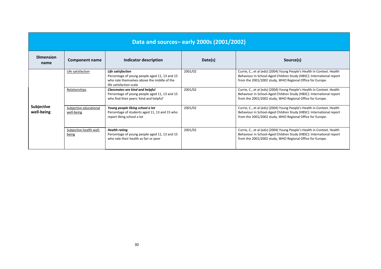| Data and sources-early 2000s (2001/2002) |                                      |                                                                                                                                              |         |                                                                                                                                                                                                              |  |
|------------------------------------------|--------------------------------------|----------------------------------------------------------------------------------------------------------------------------------------------|---------|--------------------------------------------------------------------------------------------------------------------------------------------------------------------------------------------------------------|--|
| <b>Dimension</b><br>name                 | Component name                       | Indicator description                                                                                                                        | Date(s) | Source(s)                                                                                                                                                                                                    |  |
| <b>Subjective</b><br>well-being          | Life satisfaction                    | Life satisfaction<br>Percentage of young people aged 11, 13 and 15<br>who rate themselves above the middle of the<br>life satisfaction scale | 2001/02 | Currie, C., et al (eds) (2004) Young People's Health in Context. Health<br>Behaviour in School-Aged Children Study (HBSC): International report<br>from the 2001/2002 study, WHO Regional Office for Europe. |  |
|                                          | Relationships                        | <b>Classmates are kind and helpful</b><br>Percentage of young people aged 11, 13 and 15<br>who find their peers 'kind and helpful'           | 2001/02 | Currie, C., et al (eds) (2004) Young People's Health in Context. Health<br>Behaviour in School-Aged Children Study (HBSC): International report<br>from the 2001/2002 study, WHO Regional Office for Europe. |  |
|                                          | Subjective educational<br>well-being | Young people liking school a lot<br>Percentage of students aged 11, 13 and 15 who<br>report liking school a lot                              | 2001/02 | Currie, C., et al (eds) (2004) Young People's Health in Context. Health<br>Behaviour in School-Aged Children Study (HBSC): International report<br>from the 2001/2002 study, WHO Regional Office for Europe. |  |
|                                          | Subjective health well-<br>being     | <b>Health rating</b><br>Percentage of young people aged 11, 13 and 15<br>who rate their health as fair or poor                               | 2001/02 | Currie, C., et al (eds) (2004) Young People's Health in Context. Health<br>Behaviour in School-Aged Children Study (HBSC): International report<br>from the 2001/2002 study, WHO Regional Office for Europe. |  |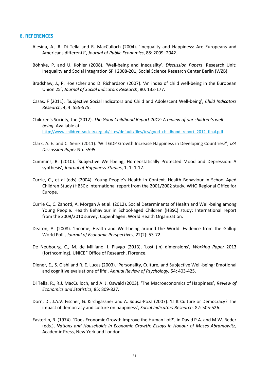#### **6. REFERENCES**

- Alesina, A., R. Di Tella and R. MacCulloch (2004). 'Inequality and Happiness: Are Europeans and Americans different?', *Journal of Public Economics*, 88: 2009–2042.
- Böhnke, P. and U. Kohler (2008). 'Well-being and Inequality', *Discussion Papers*, Research Unit: Inequality and Social Integration SP I 2008-201, Social Science Research Center Berlin (WZB).
- Bradshaw, J., P. Hoelscher and D. Richardson (2007). 'An index of child well-being in the European Union 25', *Journal of Social Indicators Research*, 80: 133-177.
- Casas, F (2011). 'Subjective Social Indicators and Child and Adolescent Well-being', *Child Indicators Research*, 4, 4: 555-575.
- Children's Society, the (2012). *The Good Childhood Report 2012: A review of our children's wellbeing.* Available at: [http://www.childrenssociety.org.uk/sites/default/files/tcs/good\\_childhood\\_report\\_2012\\_final.pdf](http://www.childrenssociety.org.uk/sites/default/files/tcs/good_childhood_report_2012_final.pdf)
- Clark, A. E. and C. Senik (2011). 'Will GDP Growth Increase Happiness in Developing Countries?', *IZA Discussion Paper* No. 5595.
- Cummins, R. (2010). 'Subjective Well-being, Homeostatically Protected Mood and Depression: A synthesis', *Journal of Happiness Studies*, 1, 1: 1-17.
- Currie, C., et al (eds) (2004). Young People's Health in Context. Health Behaviour in School-Aged Children Study (HBSC): International report from the 2001/2002 study, WHO Regional Office for Europe.
- Currie C., C. Zanotti, A. Morgan A et al. (2012). Social Determinants of Health and Well-being among Young People. Health Behaviour in School-aged Children (HBSC) study: International report from the 2009/2010 survey. Copenhagen: World Health Organization.
- Deaton, A. (2008). 'Income, Health and Well-being around the World: Evidence from the Gallup World Poll', *Journal of Economic Perspectives*, 22(2): 53-72.
- De Neubourg, C., M. de Milliano, I. Plavgo (2013), 'Lost (in) dimensions', *Working Paper* 2013 (forthcoming), UNICEF Office of Research, Florence.
- Diener, E., S. Oishi and R. E. Lucas (2003). 'Personality, Culture, and Subjective Well-being: Emotional and cognitive evaluations of life', *Annual Review of Psychology,* 54: 403-425.
- Di Tella, R., R.J. MacCulloch, and A. J. Oswald (2003). 'The Macroeconomics of Happiness', *Review of Economics and Statistics,* 85: 809-827.
- Dorn, D., J.A.V. Fischer, G. Kirchgassner and A. Sousa-Poza (2007). 'Is It Culture or Democracy? The impact of democracy and culture on happiness', *Social Indicators Research*, 82: 505-526.
- Easterlin, R. (1974). 'Does Economic Growth Improve the Human Lot?', in David P.A. and M.W. Reder (eds.), *Nations and Households in Economic Growth: Essays in Honour of Moses Abramowitz*, Academic Press, New York and London.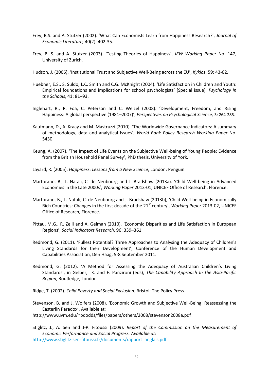- Frey, B.S. and A. Stutzer (2002). 'What Can Economists Learn from Happiness Research?', *Journal of Economic Literature,* 40(2): 402-35.
- Frey, B. S. and A. Stutzer (2003). 'Testing Theories of Happiness', *IEW Working Paper* No. 147, University of Zurich.
- Hudson, J. (2006). 'Institutional Trust and Subjective Well-Being across the EU', *Kyklos*, 59: 43-62.
- Huebner, E.S., S. Suldo, L.C. Smith and C.G. McKnight (2004). 'Life Satisfaction in Children and Youth: Empirical foundations and implications for school psychologists' [Special issue]. *Psychology in the Schools*, 41: 81–93.
- Inglehart, R., R. Foa, C. Peterson and C. Welzel (2008). 'Development, Freedom, and Rising Happiness: A global perspective (1981–2007)', *Perspectives on Psychological Science,* 3: 264-285.
- Kaufmann, D., A. Kraay and M. Mastruzzi (2010). 'The Worldwide Governance Indicators: A summary of methodology, data and analytical Issues', *World Bank Policy Research Working Paper* No. 5430.
- Keung, A. (2007). '[The Impact of Life Events on the Subjective Well-being of Young People: Evidence](http://yorsearch.york.ac.uk/primo_library/libweb/action/display.do?tabs=detailsTab&ct=display&fn=search&doc=YORK_aleph001642985&indx=2&recIds=YORK_aleph001642985&recIdxs=1&elementId=1&renderMode=poppedOut&displayMode=full&frbrVersion=&dscnt=1&frbg=&tab=catalogue_tab&dstmp=1347270718323&srt=rank&mode=Basic&dum=true&search=GO&vl(freeText0)=Keung%2C+A&vid=YORK)  [from the British Household Panel Survey](http://yorsearch.york.ac.uk/primo_library/libweb/action/display.do?tabs=detailsTab&ct=display&fn=search&doc=YORK_aleph001642985&indx=2&recIds=YORK_aleph001642985&recIdxs=1&elementId=1&renderMode=poppedOut&displayMode=full&frbrVersion=&dscnt=1&frbg=&tab=catalogue_tab&dstmp=1347270718323&srt=rank&mode=Basic&dum=true&search=GO&vl(freeText0)=Keung%2C+A&vid=YORK)', PhD thesis, University of York.
- Layard, R. (2005). *Happiness: Lessons from a New Science*, London: Penguin.
- Martorano, B., L. Natali, C. de Neubourg and J. Bradshaw (2013a). 'Child Well-being in Advanced Economies in the Late 2000s', *Working Paper* 2013-01, UNICEF Office of Research, Florence.
- Martorano, B., L. Natali, C. de Neubourg and J. Bradshaw (2013b), 'Child Well-being in Economically Rich Countries: Changes in the first decade of the 21<sup>st</sup> century', *Working Paper* 2013-02, UNICEF Office of Research, Florence.
- Pittau, M.G., R. Zelli and A. Gelman (2010). 'Economic Disparities and Life Satisfaction in European Regions', *Social Indicators Research*, 96: 339–361.
- Redmond, G. (2011). 'Fullest Potential? Three Approaches to Analysing the Adequacy of Children's Living Standards for their Development', Conference of the Human Development and Capabilities Association, Den Haag, 5-8 September 2011.
- Redmond, G. (2012). 'A Method for Assessing the Adequacy of Australian Children's Living Standards', in Gelber, K. and F. Panzironi (eds), *The Capability Approach In the Asia-Pacific Region*, Routledge, London.
- Ridge, T. (2002). *Child Poverty and Social Exclusion.* Bristol: The Policy Press.
- Stevenson, B. and J. Wolfers (2008). 'Economic Growth and Subjective Well-Being: Reassessing the Easterlin Paradox'. Available at:
- http://www.uvm.edu/~pdodds/files/papers/others/2008/stevenson2008a.pdf

Stiglitz, J., A. Sen and J-P. Fitoussi (2009). *Report of the Commission on the Measurement of Economic Performance and Social Progress. Available at:*  [http://www.stiglitz-sen-fitoussi.fr/documents/rapport\\_anglais.pdf](http://www.stiglitz-sen-fitoussi.fr/documents/rapport_anglais.pdf)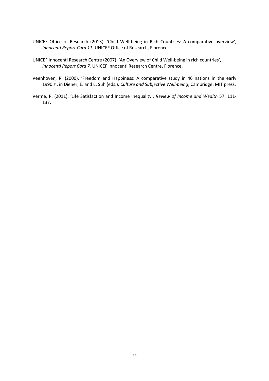- UNICEF Office of Research (2013). 'Child Well-being in Rich Countries: A comparative overview', *Innocenti Report Card 11*, UNICEF Office of Research, Florence.
- UNICEF Innocenti Research Centre (2007). 'An Overview of Child Well-being in rich countries', *Innocenti Report Card 7.* UNICEF Innocenti Research Centre, Florence.
- Veenhoven, R. (2000). 'Freedom and Happiness: A comparative study in 46 nations in the early 1990's', in Diener, E. and E. Suh (eds.), *Culture and Subjective Well-being*, Cambridge: MIT press.
- Verme, P. (2011). 'Life Satisfaction and Income Inequality', *Review of Income and Wealth* 57: 111- 137.